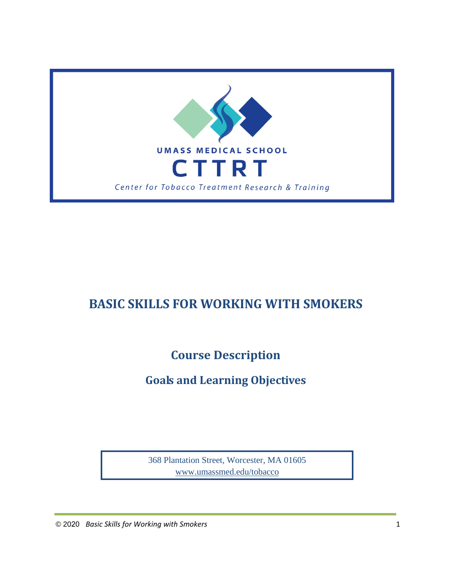

# **BASIC SKILLS FOR WORKING WITH SMOKERS**

**Course Description**

**Goals and Learning Objectives**

368 Plantation Street, Worcester, MA 01605 www.umassmed.edu/tobacco

© 2020 *Basic Skills for Working with Smokers*  1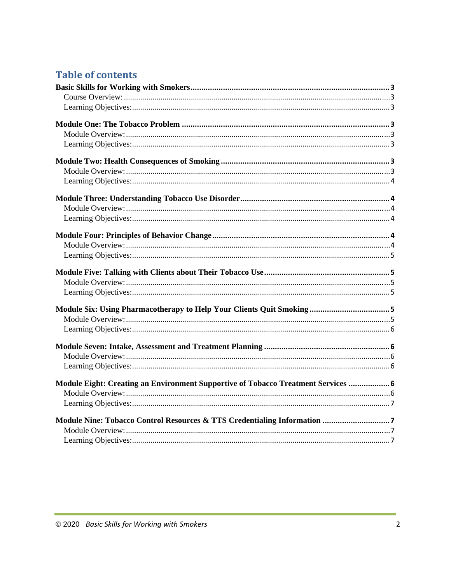# **Table of contents**

| Module Eight: Creating an Environment Supportive of Tobacco Treatment Services  6 |  |
|-----------------------------------------------------------------------------------|--|
|                                                                                   |  |
|                                                                                   |  |
| Module Nine: Tobacco Control Resources & TTS Credentialing Information 7          |  |
|                                                                                   |  |
|                                                                                   |  |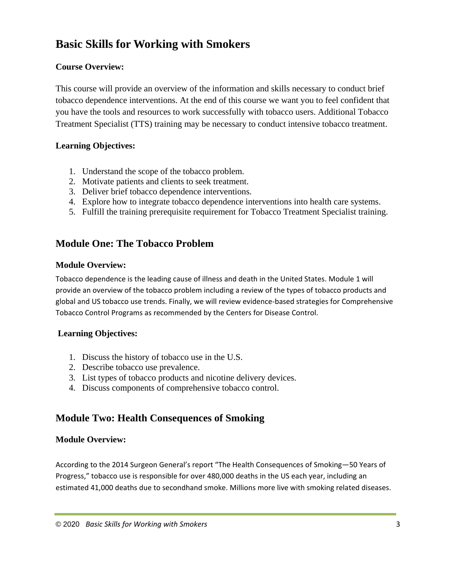# **Basic Skills for Working with Smokers**

### **Course Overview:**

This course will provide an overview of the information and skills necessary to conduct brief tobacco dependence interventions. At the end of this course we want you to feel confident that you have the tools and resources to work successfully with tobacco users. Additional Tobacco Treatment Specialist (TTS) training may be necessary to conduct intensive tobacco treatment.

### **Learning Objectives:**

- 1. Understand the scope of the tobacco problem.
- 2. Motivate patients and clients to seek treatment.
- 3. Deliver brief tobacco dependence interventions.
- 4. Explore how to integrate tobacco dependence interventions into health care systems.
- 5. Fulfill the training prerequisite requirement for Tobacco Treatment Specialist training.

### **Module One: The Tobacco Problem**

#### **Module Overview:**

Tobacco dependence is the leading cause of illness and death in the United States. Module 1 will provide an overview of the tobacco problem including a review of the types of tobacco products and global and US tobacco use trends. Finally, we will review evidence‐based strategies for Comprehensive Tobacco Control Programs as recommended by the Centers for Disease Control.

### **Learning Objectives:**

- 1. Discuss the history of tobacco use in the U.S.
- 2. Describe tobacco use prevalence.
- 3. List types of tobacco products and nicotine delivery devices.
- 4. Discuss components of comprehensive tobacco control.

### **Module Two: Health Consequences of Smoking**

### **Module Overview:**

According to the 2014 Surgeon General's report "The Health Consequences of Smoking—50 Years of Progress," tobacco use is responsible for over 480,000 deaths in the US each year, including an estimated 41,000 deaths due to secondhand smoke. Millions more live with smoking related diseases.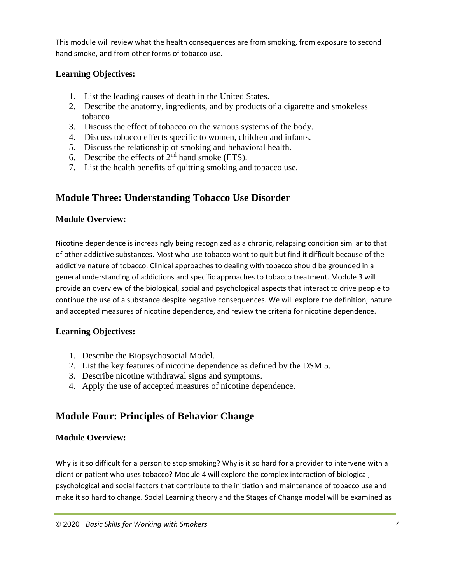This module will review what the health consequences are from smoking, from exposure to second hand smoke, and from other forms of tobacco use**.**

### **Learning Objectives:**

- 1. List the leading causes of death in the United States.
- 2. Describe the anatomy, ingredients, and by products of a cigarette and smokeless tobacco
- 3. Discuss the effect of tobacco on the various systems of the body.
- 4. Discuss tobacco effects specific to women, children and infants.
- 5. Discuss the relationship of smoking and behavioral health.
- 6. Describe the effects of  $2<sup>nd</sup>$  hand smoke (ETS).
- 7. List the health benefits of quitting smoking and tobacco use.

# **Module Three: Understanding Tobacco Use Disorder**

### **Module Overview:**

Nicotine dependence is increasingly being recognized as a chronic, relapsing condition similar to that of other addictive substances. Most who use tobacco want to quit but find it difficult because of the addictive nature of tobacco. Clinical approaches to dealing with tobacco should be grounded in a general understanding of addictions and specific approaches to tobacco treatment. Module 3 will provide an overview of the biological, social and psychological aspects that interact to drive people to continue the use of a substance despite negative consequences. We will explore the definition, nature and accepted measures of nicotine dependence, and review the criteria for nicotine dependence.

### **Learning Objectives:**

- 1. Describe the Biopsychosocial Model.
- 2. List the key features of nicotine dependence as defined by the DSM 5.
- 3. Describe nicotine withdrawal signs and symptoms.
- 4. Apply the use of accepted measures of nicotine dependence.

# **Module Four: Principles of Behavior Change**

### **Module Overview:**

Why is it so difficult for a person to stop smoking? Why is it so hard for a provider to intervene with a client or patient who uses tobacco? Module 4 will explore the complex interaction of biological, psychological and social factors that contribute to the initiation and maintenance of tobacco use and make it so hard to change. Social Learning theory and the Stages of Change model will be examined as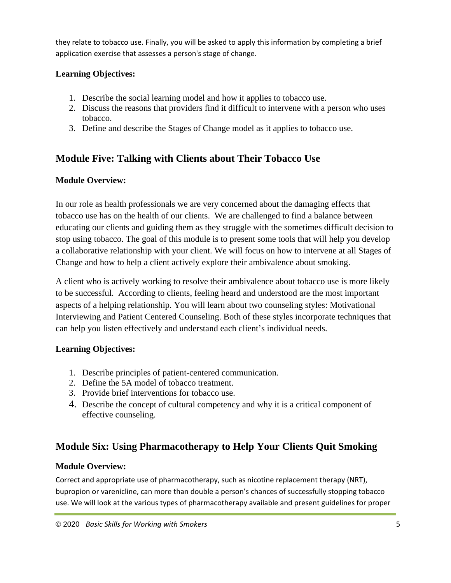they relate to tobacco use. Finally, you will be asked to apply this information by completing a brief application exercise that assesses a person's stage of change.

### **Learning Objectives:**

- 1. Describe the social learning model and how it applies to tobacco use.
- 2. Discuss the reasons that providers find it difficult to intervene with a person who uses tobacco.
- 3. Define and describe the Stages of Change model as it applies to tobacco use.

### **Module Five: Talking with Clients about Their Tobacco Use**

### **Module Overview:**

In our role as health professionals we are very concerned about the damaging effects that tobacco use has on the health of our clients. We are challenged to find a balance between educating our clients and guiding them as they struggle with the sometimes difficult decision to stop using tobacco. The goal of this module is to present some tools that will help you develop a collaborative relationship with your client. We will focus on how to intervene at all Stages of Change and how to help a client actively explore their ambivalence about smoking.

A client who is actively working to resolve their ambivalence about tobacco use is more likely to be successful. According to clients, feeling heard and understood are the most important aspects of a helping relationship. You will learn about two counseling styles: Motivational Interviewing and Patient Centered Counseling. Both of these styles incorporate techniques that can help you listen effectively and understand each client's individual needs.

### **Learning Objectives:**

- 1. Describe principles of patient-centered communication.
- 2. Define the 5A model of tobacco treatment.
- 3. Provide brief interventions for tobacco use.
- 4. Describe the concept of cultural competency and why it is a critical component of effective counseling.

## **Module Six: Using Pharmacotherapy to Help Your Clients Quit Smoking**

### **Module Overview:**

Correct and appropriate use of pharmacotherapy, such as nicotine replacement therapy (NRT), bupropion or varenicline, can more than double a person's chances of successfully stopping tobacco use. We will look at the various types of pharmacotherapy available and present guidelines for proper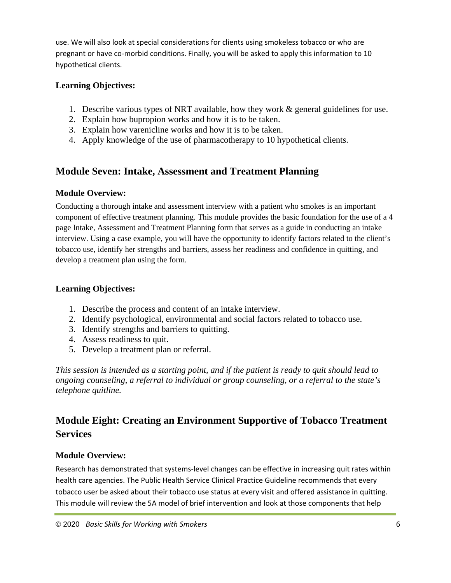use. We will also look at special considerations for clients using smokeless tobacco or who are pregnant or have co-morbid conditions. Finally, you will be asked to apply this information to 10 hypothetical clients.

#### **Learning Objectives:**

- 1. Describe various types of NRT available, how they work & general guidelines for use.
- 2. Explain how bupropion works and how it is to be taken.
- 3. Explain how varenicline works and how it is to be taken.
- 4. Apply knowledge of the use of pharmacotherapy to 10 hypothetical clients.

### **Module Seven: Intake, Assessment and Treatment Planning**

#### **Module Overview:**

Conducting a thorough intake and assessment interview with a patient who smokes is an important component of effective treatment planning. This module provides the basic foundation for the use of a 4 page Intake, Assessment and Treatment Planning form that serves as a guide in conducting an intake interview. Using a case example, you will have the opportunity to identify factors related to the client's tobacco use, identify her strengths and barriers, assess her readiness and confidence in quitting, and develop a treatment plan using the form.

#### **Learning Objectives:**

- 1. Describe the process and content of an intake interview.
- 2. Identify psychological, environmental and social factors related to tobacco use.
- 3. Identify strengths and barriers to quitting.
- 4. Assess readiness to quit.
- 5. Develop a treatment plan or referral.

*This session is intended as a starting point, and if the patient is ready to quit should lead to ongoing counseling, a referral to individual or group counseling, or a referral to the state's telephone quitline.* 

### **Module Eight: Creating an Environment Supportive of Tobacco Treatment Services**

### **Module Overview:**

Research has demonstrated that systems‐level changes can be effective in increasing quit rates within health care agencies. The Public Health Service Clinical Practice Guideline recommends that every tobacco user be asked about their tobacco use status at every visit and offered assistance in quitting. This module will review the 5A model of brief intervention and look at those components that help